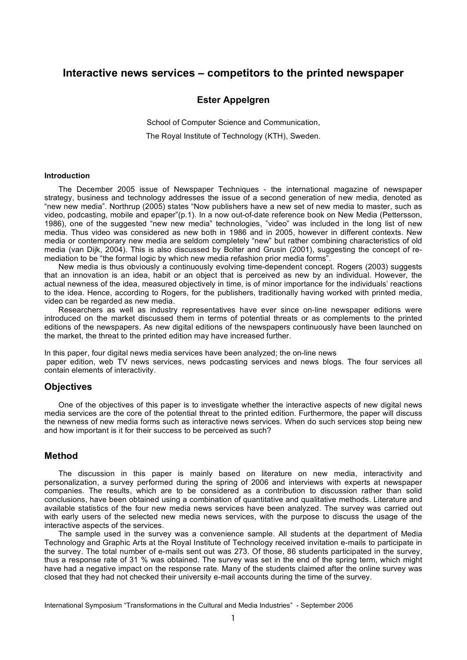# **Interactive news services – competitors to the printed newspaper**

### **Ester Appelgren**

School of Computer Science and Communication, The Royal Institute of Technology (KTH), Sweden.

#### **Introduction**

The December 2005 issue of Newspaper Techniques - the international magazine of newspaper strategy, business and technology addresses the issue of a second generation of new media, denoted as "new new media". Northrup (2005) states "Now publishers have a new set of new media to master, such as video, podcasting, mobile and epaper"(p.1). In a now out-of-date reference book on New Media (Pettersson, 1986), one of the suggested "new new media" technologies, "video" was included in the long list of new media. Thus video was considered as new both in 1986 and in 2005, however in different contexts. New media or contemporary new media are seldom completely "new" but rather combining characteristics of old media (van Dijk, 2004). This is also discussed by Bolter and Grusin (2001), suggesting the concept of remediation to be "the formal logic by which new media refashion prior media forms".

New media is thus obviously a continuously evolving time-dependent concept. Rogers (2003) suggests that an innovation is an idea, habit or an object that is perceived as new by an individual. However, the actual newness of the idea, measured objectively in time, is of minor importance for the individuals' reactions to the idea. Hence, according to Rogers, for the publishers, traditionally having worked with printed media, video can be regarded as new media.

Researchers as well as industry representatives have ever since on-line newspaper editions were introduced on the market discussed them in terms of potential threats or as complements to the printed editions of the newspapers. As new digital editions of the newspapers continuously have been launched on the market, the threat to the printed edition may have increased further.

In this paper, four digital news media services have been analyzed; the on-line news paper edition, web TV news services, news podcasting services and news blogs. The four services all contain elements of interactivity.

#### **Objectives**

One of the objectives of this paper is to investigate whether the interactive aspects of new digital news media services are the core of the potential threat to the printed edition. Furthermore, the paper will discuss the newness of new media forms such as interactive news services. When do such services stop being new and how important is it for their success to be perceived as such?

### **Method**

The discussion in this paper is mainly based on literature on new media, interactivity and personalization, a survey performed during the spring of 2006 and interviews with experts at newspaper companies. The results, which are to be considered as a contribution to discussion rather than solid conclusions, have been obtained using a combination of quantitative and qualitative methods. Literature and available statistics of the four new media news services have been analyzed. The survey was carried out with early users of the selected new media news services, with the purpose to discuss the usage of the interactive aspects of the services.

The sample used in the survey was a convenience sample. All students at the department of Media Technology and Graphic Arts at the Royal Institute of Technology received invitation e-mails to participate in the survey. The total number of e-mails sent out was 273. Of those, 86 students participated in the survey, thus a response rate of 31 % was obtained. The survey was set in the end of the spring term, which might have had a negative impact on the response rate. Many of the students claimed after the online survey was closed that they had not checked their university e-mail accounts during the time of the survey.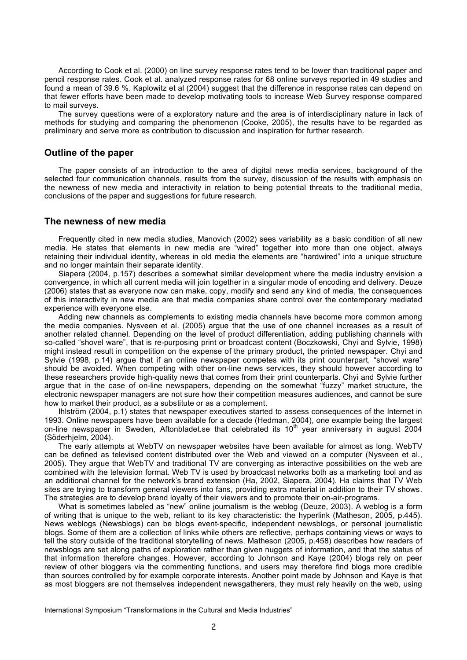According to Cook et al. (2000) on line survey response rates tend to be lower than traditional paper and pencil response rates. Cook et al. analyzed response rates for 68 online surveys reported in 49 studies and found a mean of 39.6 %. Kaplowitz et al (2004) suggest that the difference in response rates can depend on that fewer efforts have been made to develop motivating tools to increase Web Survey response compared to mail surveys.

The survey questions were of a exploratory nature and the area is of interdisciplinary nature in lack of methods for studying and comparing the phenomenon (Cooke, 2005), the results have to be regarded as preliminary and serve more as contribution to discussion and inspiration for further research.

### **Outline of the paper**

The paper consists of an introduction to the area of digital news media services, background of the selected four communication channels, results from the survey, discussion of the results with emphasis on the newness of new media and interactivity in relation to being potential threats to the traditional media, conclusions of the paper and suggestions for future research.

### **The newness of new media**

Frequently cited in new media studies, Manovich (2002) sees variability as a basic condition of all new media. He states that elements in new media are "wired" together into more than one object, always retaining their individual identity, whereas in old media the elements are "hardwired" into a unique structure and no longer maintain their separate identity.

Siapera (2004, p.157) describes a somewhat similar development where the media industry envision a convergence, in which all current media will join together in a singular mode of encoding and delivery. Deuze (2006) states that as everyone now can make, copy, modify and send any kind of media, the consequences of this interactivity in new media are that media companies share control over the contemporary mediated experience with everyone else.

Adding new channels as complements to existing media channels have become more common among the media companies. Nysveen et al. (2005) argue that the use of one channel increases as a result of another related channel. Depending on the level of product differentiation, adding publishing channels with so-called "shovel ware", that is re-purposing print or broadcast content (Boczkowski, Chyi and Sylvie, 1998) might instead result in competition on the expense of the primary product, the printed newspaper. Chyi and Sylvie (1998, p.14) argue that if an online newspaper competes with its print counterpart, "shovel ware" should be avoided. When competing with other on-line news services, they should however according to these researchers provide high-quality news that comes from their print counterparts. Chyi and Sylvie further argue that in the case of on-line newspapers, depending on the somewhat "fuzzy" market structure, the electronic newspaper managers are not sure how their competition measures audiences, and cannot be sure how to market their product, as a substitute or as a complement.

Ihlström (2004, p.1) states that newspaper executives started to assess consequences of the Internet in 1993. Online newspapers have been available for a decade (Hedman, 2004), one example being the largest on-line newspaper in Sweden, Aftonbladet.se that celebrated its 10<sup>th</sup> year anniversary in august 2004 (Söderhjelm, 2004).

The early attempts at WebTV on newspaper websites have been available for almost as long. WebTV can be defined as televised content distributed over the Web and viewed on a computer (Nysveen et al., 2005). They argue that WebTV and traditional TV are converging as interactive possibilities on the web are combined with the television format. Web TV is used by broadcast networks both as a marketing tool and as an additional channel for the network's brand extension (Ha, 2002, Siapera, 2004). Ha claims that TV Web sites are trying to transform general viewers into fans, providing extra material in addition to their TV shows. The strategies are to develop brand loyalty of their viewers and to promote their on-air-programs.

What is sometimes labeled as "new" online journalism is the weblog (Deuze, 2003). A weblog is a form of writing that is unique to the web, reliant to its key characteristic: the hyperlink (Matheson, 2005, p.445). News weblogs (Newsblogs) can be blogs event-specific, independent newsblogs, or personal journalistic blogs. Some of them are a collection of links while others are reflective, perhaps containing views or ways to tell the story outside of the traditional storytelling of news. Matheson (2005, p.458) describes how readers of newsblogs are set along paths of exploration rather than given nuggets of information, and that the status of that information therefore changes. However, according to Johnson and Kaye (2004) blogs rely on peer review of other bloggers via the commenting functions, and users may therefore find blogs more credible than sources controlled by for example corporate interests. Another point made by Johnson and Kaye is that as most bloggers are not themselves independent newsgatherers, they must rely heavily on the web, using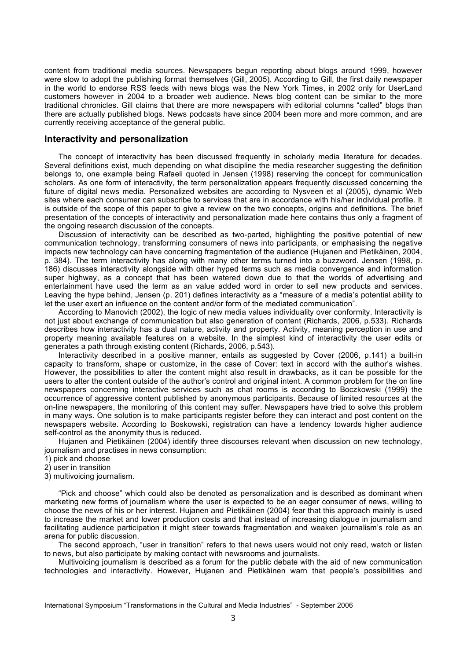content from traditional media sources. Newspapers begun reporting about blogs around 1999, however were slow to adopt the publishing format themselves (Gill, 2005). According to Gill, the first daily newspaper in the world to endorse RSS feeds with news blogs was the New York Times, in 2002 only for UserLand customers however in 2004 to a broader web audience. News blog content can be similar to the more traditional chronicles. Gill claims that there are more newspapers with editorial columns "called" blogs than there are actually published blogs. News podcasts have since 2004 been more and more common, and are currently receiving acceptance of the general public.

### **Interactivity and personalization**

The concept of interactivity has been discussed frequently in scholarly media literature for decades. Several definitions exist, much depending on what discipline the media researcher suggesting the definition belongs to, one example being Rafaeli quoted in Jensen (1998) reserving the concept for communication scholars. As one form of interactivity, the term personalization appears frequently discussed concerning the future of digital news media. Personalized websites are according to Nysveen et al (2005), dynamic Web sites where each consumer can subscribe to services that are in accordance with his/her individual profile. It is outside of the scope of this paper to give a review on the two concepts, origins and definitions. The brief presentation of the concepts of interactivity and personalization made here contains thus only a fragment of the ongoing research discussion of the concepts.

Discussion of interactivity can be described as two-parted, highlighting the positive potential of new communication technology, transforming consumers of news into participants, or emphasising the negative impacts new technology can have concerning fragmentation of the audience (Hujanen and Pietikäinen, 2004, p. 384). The term interactivity has along with many other terms turned into a buzzword. Jensen (1998, p. 186) discusses interactivity alongside with other hyped terms such as media convergence and information super highway, as a concept that has been watered down due to that the worlds of advertising and entertainment have used the term as an value added word in order to sell new products and services. Leaving the hype behind, Jensen (p. 201) defines interactivity as a "measure of a media's potential ability to let the user exert an influence on the content and/or form of the mediated communication".

According to Manovich (2002), the logic of new media values individuality over conformity. Interactivity is not just about exchange of communication but also generation of content (Richards, 2006, p.533). Richards describes how interactivity has a dual nature, activity and property. Activity, meaning perception in use and property meaning available features on a website. In the simplest kind of interactivity the user edits or generates a path through existing content (Richards, 2006, p.543).

Interactivity described in a positive manner, entails as suggested by Cover (2006, p.141) a built-in capacity to transform, shape or customize, in the case of Cover: text in accord with the author's wishes. However, the possibilities to alter the content might also result in drawbacks, as it can be possible for the users to alter the content outside of the author's control and original intent. A common problem for the on line newspapers concerning interactive services such as chat rooms is according to Boczkowski (1999) the occurrence of aggressive content published by anonymous participants. Because of limited resources at the on-line newspapers, the monitoring of this content may suffer. Newspapers have tried to solve this problem in many ways. One solution is to make participants register before they can interact and post content on the newspapers website. According to Boskowski, registration can have a tendency towards higher audience self-control as the anonymity thus is reduced.

Hujanen and Pietikäinen (2004) identify three discourses relevant when discussion on new technology, journalism and practises in news consumption:

1) pick and choose

- 2) user in transition
- 3) multivoicing journalism.

"Pick and choose" which could also be denoted as personalization and is described as dominant when marketing new forms of journalism where the user is expected to be an eager consumer of news, willing to choose the news of his or her interest. Hujanen and Pietikäinen (2004) fear that this approach mainly is used to increase the market and lower production costs and that instead of increasing dialogue in journalism and facilitating audience participation it might steer towards fragmentation and weaken journalism's role as an arena for public discussion.

The second approach, "user in transition" refers to that news users would not only read, watch or listen to news, but also participate by making contact with newsrooms and journalists.

Multivoicing journalism is described as a forum for the public debate with the aid of new communication technologies and interactivity. However, Hujanen and Pietikäinen warn that people's possibilities and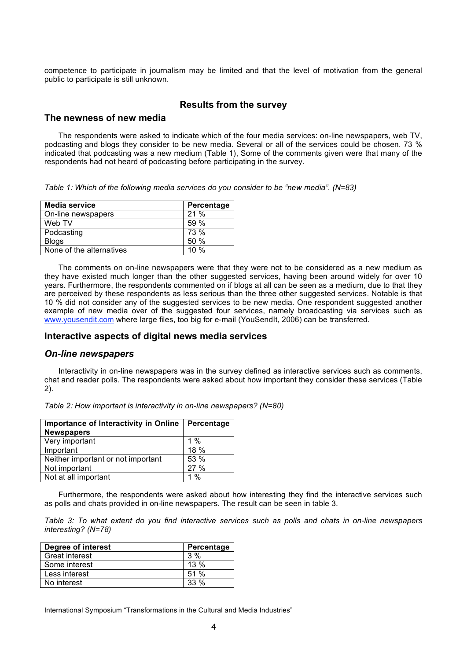competence to participate in journalism may be limited and that the level of motivation from the general public to participate is still unknown.

## **Results from the survey**

### **The newness of new media**

The respondents were asked to indicate which of the four media services: on-line newspapers, web TV, podcasting and blogs they consider to be new media. Several or all of the services could be chosen. 73 % indicated that podcasting was a new medium (Table 1), Some of the comments given were that many of the respondents had not heard of podcasting before participating in the survey.

*Table 1: Which of the following media services do you consider to be "new media". (N=83)*

| <b>Media service</b>     | Percentage |
|--------------------------|------------|
| On-line newspapers       | 21%        |
| Web TV                   | 59%        |
| Podcasting               | 73 %       |
| Blogs                    | 50%        |
| None of the alternatives | $10\%$     |

The comments on on-line newspapers were that they were not to be considered as a new medium as they have existed much longer than the other suggested services, having been around widely for over 10 years. Furthermore, the respondents commented on if blogs at all can be seen as a medium, due to that they are perceived by these respondents as less serious than the three other suggested services. Notable is that 10 % did not consider any of the suggested services to be new media. One respondent suggested another example of new media over of the suggested four services, namely broadcasting via services such as www.yousendit.com where large files, too big for e-mail (YouSendIt, 2006) can be transferred.

#### **Interactive aspects of digital news media services**

#### *On-line newspapers*

Interactivity in on-line newspapers was in the survey defined as interactive services such as comments, chat and reader polls. The respondents were asked about how important they consider these services (Table 2).

| Table 2: How important is interactivity in on-line newspapers? (N=80) |  |  |  |  |  |  |
|-----------------------------------------------------------------------|--|--|--|--|--|--|
|-----------------------------------------------------------------------|--|--|--|--|--|--|

| Importance of Interactivity in Online<br><b>Newspapers</b> | Percentage |
|------------------------------------------------------------|------------|
| Very important                                             | 1 %        |
| Important                                                  | 18%        |
| Neither important or not important                         | 53 %       |
| Not important                                              | 27%        |
| Not at all important                                       | $1\%$      |

Furthermore, the respondents were asked about how interesting they find the interactive services such as polls and chats provided in on-line newspapers. The result can be seen in table 3.

Table 3: To what extent do you find interactive services such as polls and chats in on-line newspapers *interesting? (N=78)*

| Degree of interest    | Percentage |
|-----------------------|------------|
| <b>Great interest</b> | $3\%$      |
| l Some interest       | $13\%$     |
| Less interest         | 51%        |
| No interest           | $33\%$     |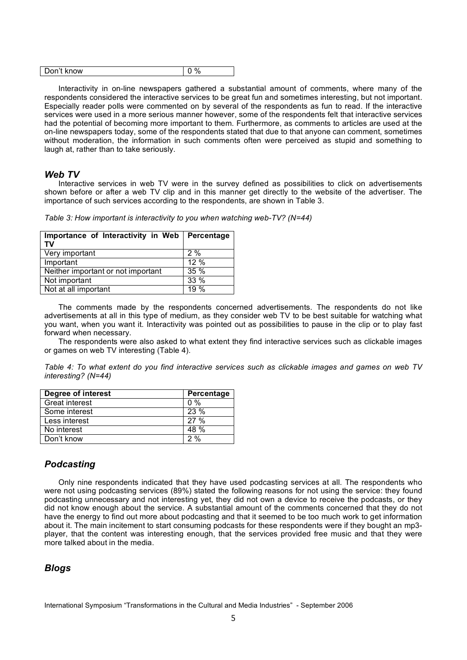| know<br><br>л.<br>ונ |
|----------------------|
|----------------------|

Interactivity in on-line newspapers gathered a substantial amount of comments, where many of the respondents considered the interactive services to be great fun and sometimes interesting, but not important. Especially reader polls were commented on by several of the respondents as fun to read. If the interactive services were used in a more serious manner however, some of the respondents felt that interactive services had the potential of becoming more important to them. Furthermore, as comments to articles are used at the on-line newspapers today, some of the respondents stated that due to that anyone can comment, sometimes without moderation, the information in such comments often were perceived as stupid and something to laugh at, rather than to take seriously.

## *Web TV*

Interactive services in web TV were in the survey defined as possibilities to click on advertisements shown before or after a web TV clip and in this manner get directly to the website of the advertiser. The importance of such services according to the respondents, are shown in Table 3.

| Importance of Interactivity in Web   Percentage<br>TV |         |
|-------------------------------------------------------|---------|
| Very important                                        | $2\%$   |
| Important                                             | $12 \%$ |
| Neither important or not important                    | 35%     |
| Not important                                         | 33 %    |
| Not at all important                                  | 19%     |

*Table 3: How important is interactivity to you when watching web-TV? (N=44)*

The comments made by the respondents concerned advertisements. The respondents do not like advertisements at all in this type of medium, as they consider web TV to be best suitable for watching what you want, when you want it. Interactivity was pointed out as possibilities to pause in the clip or to play fast forward when necessary.

The respondents were also asked to what extent they find interactive services such as clickable images or games on web TV interesting (Table 4).

|                       |  |  |  | Table 4: To what extent do you find interactive services such as clickable images and games on web TV |  |  |  |  |  |
|-----------------------|--|--|--|-------------------------------------------------------------------------------------------------------|--|--|--|--|--|
| interesting? $(N=44)$ |  |  |  |                                                                                                       |  |  |  |  |  |

| Degree of interest    | Percentage |
|-----------------------|------------|
| <b>Great interest</b> | $0\%$      |
| Some interest         | 23%        |
| Less interest         | 27%        |
| No interest           | 48 %       |
| Don't know            | 2%         |

# *Podcasting*

Only nine respondents indicated that they have used podcasting services at all. The respondents who were not using podcasting services (89%) stated the following reasons for not using the service: they found podcasting unnecessary and not interesting yet, they did not own a device to receive the podcasts, or they did not know enough about the service. A substantial amount of the comments concerned that they do not have the energy to find out more about podcasting and that it seemed to be too much work to get information about it. The main incitement to start consuming podcasts for these respondents were if they bought an mp3 player, that the content was interesting enough, that the services provided free music and that they were more talked about in the media.

# *Blogs*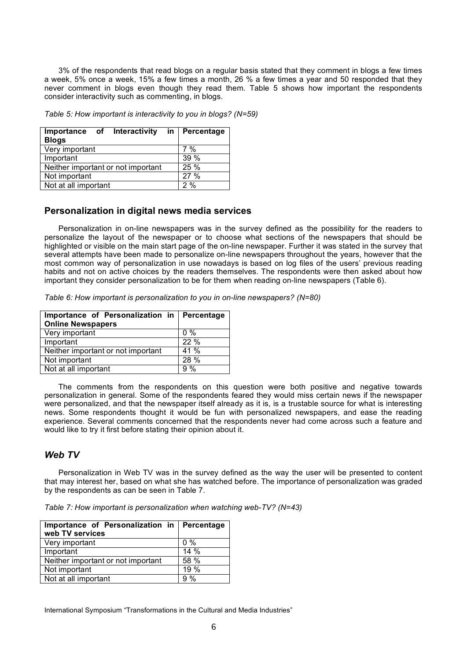3% of the respondents that read blogs on a regular basis stated that they comment in blogs a few times a week, 5% once a week, 15% a few times a month, 26 % a few times a year and 50 responded that they never comment in blogs even though they read them. Table 5 shows how important the respondents consider interactivity such as commenting, in blogs.

*Table 5: How important is interactivity to you in blogs? (N=59)*

| Importance of Interactivity in Percentage |       |
|-------------------------------------------|-------|
| <b>Blogs</b>                              |       |
| Very important                            | $7\%$ |
| Important                                 | 39%   |
| Neither important or not important        | 25 %  |
| Not important                             | 27 %  |
| Not at all important                      | 2%    |

## **Personalization in digital news media services**

Personalization in on-line newspapers was in the survey defined as the possibility for the readers to personalize the layout of the newspaper or to choose what sections of the newspapers that should be highlighted or visible on the main start page of the on-line newspaper. Further it was stated in the survey that several attempts have been made to personalize on-line newspapers throughout the years, however that the most common way of personalization in use nowadays is based on log files of the users' previous reading habits and not on active choices by the readers themselves. The respondents were then asked about how important they consider personalization to be for them when reading on-line newspapers (Table 6).

*Table 6: How important is personalization to you in on-line newspapers? (N=80)*

| Importance of Personalization in Percentage |
|---------------------------------------------|
| $0\%$                                       |
| 22%                                         |
| 41 %                                        |
| 28 %                                        |
| 9%                                          |
|                                             |

The comments from the respondents on this question were both positive and negative towards personalization in general. Some of the respondents feared they would miss certain news if the newspaper were personalized, and that the newspaper itself already as it is, is a trustable source for what is interesting news. Some respondents thought it would be fun with personalized newspapers, and ease the reading experience. Several comments concerned that the respondents never had come across such a feature and would like to try it first before stating their opinion about it.

## *Web TV*

Personalization in Web TV was in the survey defined as the way the user will be presented to content that may interest her, based on what she has watched before. The importance of personalization was graded by the respondents as can be seen in Table 7.

*Table 7: How important is personalization when watching web-TV? (N=43)*

| Importance of Personalization in   Percentage<br>web TV services |       |
|------------------------------------------------------------------|-------|
| Very important                                                   | $0\%$ |
| Important                                                        | 14%   |
| Neither important or not important                               | 58 %  |
| Not important                                                    | 19%   |
| Not at all important                                             | 9%    |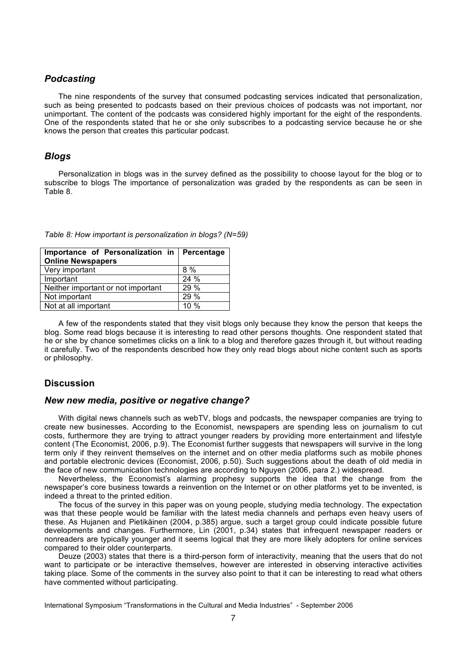## *Podcasting*

The nine respondents of the survey that consumed podcasting services indicated that personalization, such as being presented to podcasts based on their previous choices of podcasts was not important, nor unimportant. The content of the podcasts was considered highly important for the eight of the respondents. One of the respondents stated that he or she only subscribes to a podcasting service because he or she knows the person that creates this particular podcast.

### *Blogs*

Personalization in blogs was in the survey defined as the possibility to choose layout for the blog or to subscribe to blogs The importance of personalization was graded by the respondents as can be seen in Table 8.

| Importance of Personalization in Percentage<br><b>Online Newspapers</b> |      |
|-------------------------------------------------------------------------|------|
| Very important                                                          | 8 %  |
| Important                                                               | 24 % |
| Neither important or not important                                      | 29%  |
| Not important                                                           | 29 % |
| Not at all important                                                    | 10%  |

|  |  | Table 8: How important is personalization in blogs? (N=59) |  |  |
|--|--|------------------------------------------------------------|--|--|
|--|--|------------------------------------------------------------|--|--|

A few of the respondents stated that they visit blogs only because they know the person that keeps the blog. Some read blogs because it is interesting to read other persons thoughts. One respondent stated that he or she by chance sometimes clicks on a link to a blog and therefore gazes through it, but without reading it carefully. Two of the respondents described how they only read blogs about niche content such as sports or philosophy.

## **Discussion**

### *New new media, positive or negative change?*

With digital news channels such as webTV, blogs and podcasts, the newspaper companies are trying to create new businesses. According to the Economist, newspapers are spending less on journalism to cut costs, furthermore they are trying to attract younger readers by providing more entertainment and lifestyle content (The Economist, 2006, p.9). The Economist further suggests that newspapers will survive in the long term only if they reinvent themselves on the internet and on other media platforms such as mobile phones and portable electronic devices (Economist, 2006, p.50). Such suggestions about the death of old media in the face of new communication technologies are according to Nguyen (2006, para 2.) widespread.

Nevertheless, the Economist's alarming prophesy supports the idea that the change from the newspaper's core business towards a reinvention on the Internet or on other platforms yet to be invented, is indeed a threat to the printed edition.

The focus of the survey in this paper was on young people, studying media technology. The expectation was that these people would be familiar with the latest media channels and perhaps even heavy users of these. As Hujanen and Pietikäinen (2004, p.385) argue, such a target group could indicate possible future developments and changes. Furthermore, Lin (2001, p.34) states that infrequent newspaper readers or nonreaders are typically younger and it seems logical that they are more likely adopters for online services compared to their older counterparts.

Deuze (2003) states that there is a third-person form of interactivity, meaning that the users that do not want to participate or be interactive themselves, however are interested in observing interactive activities taking place. Some of the comments in the survey also point to that it can be interesting to read what others have commented without participating.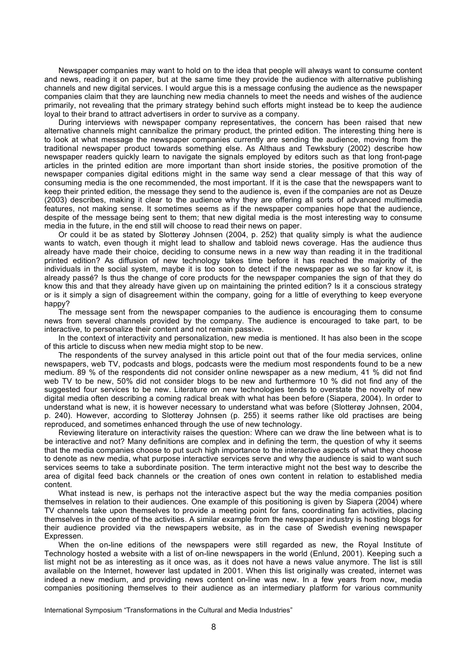Newspaper companies may want to hold on to the idea that people will always want to consume content and news, reading it on paper, but at the same time they provide the audience with alternative publishing channels and new digital services. I would argue this is a message confusing the audience as the newspaper companies claim that they are launching new media channels to meet the needs and wishes of the audience primarily, not revealing that the primary strategy behind such efforts might instead be to keep the audience loyal to their brand to attract advertisers in order to survive as a company.

During interviews with newspaper company representatives, the concern has been raised that new alternative channels might cannibalize the primary product, the printed edition. The interesting thing here is to look at what message the newspaper companies currently are sending the audience, moving from the traditional newspaper product towards something else. As Althaus and Tewksbury (2002) describe how newspaper readers quickly learn to navigate the signals employed by editors such as that long front-page articles in the printed edition are more important than short inside stories, the positive promotion of the newspaper companies digital editions might in the same way send a clear message of that this way of consuming media is the one recommended, the most important. If it is the case that the newspapers want to keep their printed edition, the message they send to the audience is, even if the companies are not as Deuze (2003) describes, making it clear to the audience why they are offering all sorts of advanced multimedia features, not making sense. It sometimes seems as if the newspaper companies hope that the audience, despite of the message being sent to them; that new digital media is the most interesting way to consume media in the future, in the end still will choose to read their news on paper.

Or could it be as stated by Slotterøy Johnsen (2004, p. 252) that quality simply is what the audience wants to watch, even though it might lead to shallow and tabloid news coverage. Has the audience thus already have made their choice, deciding to consume news in a new way than reading it in the traditional printed edition? As diffusion of new technology takes time before it has reached the majority of the individuals in the social system, maybe it is too soon to detect if the newspaper as we so far know it, is already passé? Is thus the change of core products for the newspaper companies the sign of that they do know this and that they already have given up on maintaining the printed edition? Is it a conscious strategy or is it simply a sign of disagreement within the company, going for a little of everything to keep everyone happy?

The message sent from the newspaper companies to the audience is encouraging them to consume news from several channels provided by the company. The audience is encouraged to take part, to be interactive, to personalize their content and not remain passive.

In the context of interactivity and personalization, new media is mentioned. It has also been in the scope of this article to discuss when new media might stop to be new.

The respondents of the survey analysed in this article point out that of the four media services, online newspapers, web TV, podcasts and blogs, podcasts were the medium most respondents found to be a new medium. 89 % of the respondents did not consider online newspaper as a new medium, 41 % did not find web TV to be new, 50% did not consider blogs to be new and furthermore 10 % did not find any of the suggested four services to be new. Literature on new technologies tends to overstate the novelty of new digital media often describing a coming radical break with what has been before (Siapera, 2004). In order to understand what is new, it is however necessary to understand what was before (Slotterøy Johnsen, 2004, p. 240). However, according to Slotterøy Johnsen (p. 255) it seems rather like old practises are being reproduced, and sometimes enhanced through the use of new technology.

Reviewing literature on interactivity raises the question: Where can we draw the line between what is to be interactive and not? Many definitions are complex and in defining the term, the question of why it seems that the media companies choose to put such high importance to the interactive aspects of what they choose to denote as new media, what purpose interactive services serve and why the audience is said to want such services seems to take a subordinate position. The term interactive might not the best way to describe the area of digital feed back channels or the creation of ones own content in relation to established media content.

What instead is new, is perhaps not the interactive aspect but the way the media companies position themselves in relation to their audiences. One example of this positioning is given by Siapera (2004) where TV channels take upon themselves to provide a meeting point for fans, coordinating fan activities, placing themselves in the centre of the activities. A similar example from the newspaper industry is hosting blogs for their audience provided via the newspapers website, as in the case of Swedish evening newspaper Expressen.

When the on-line editions of the newspapers were still regarded as new, the Royal Institute of Technology hosted a website with a list of on-line newspapers in the world (Enlund, 2001). Keeping such a list might not be as interesting as it once was, as it does not have a news value anymore. The list is still available on the Internet, however last updated in 2001. When this list originally was created, internet was indeed a new medium, and providing news content on-line was new. In a few years from now, media companies positioning themselves to their audience as an intermediary platform for various community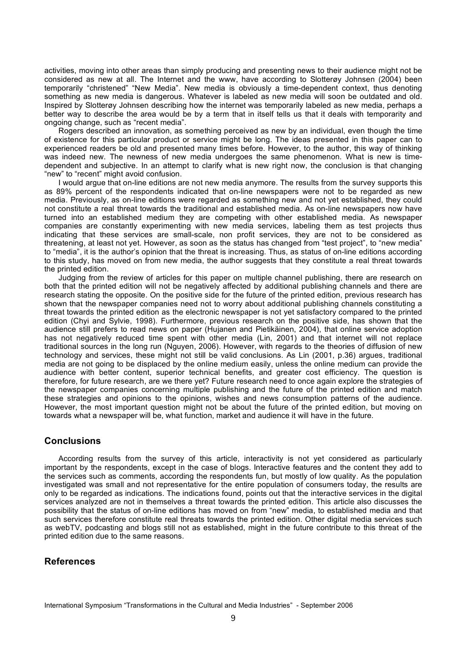activities, moving into other areas than simply producing and presenting news to their audience might not be considered as new at all. The Internet and the www, have according to Slotterøy Johnsen (2004) been temporarily "christened" "New Media". New media is obviously a time-dependent context, thus denoting something as new media is dangerous. Whatever is labeled as new media will soon be outdated and old. Inspired by Slotterøy Johnsen describing how the internet was temporarily labeled as new media, perhaps a better way to describe the area would be by a term that in itself tells us that it deals with temporarity and ongoing change, such as "recent media".

Rogers described an innovation, as something perceived as new by an individual, even though the time of existence for this particular product or service might be long. The ideas presented in this paper can to experienced readers be old and presented many times before. However, to the author, this way of thinking was indeed new. The newness of new media undergoes the same phenomenon. What is new is timedependent and subjective. In an attempt to clarify what is new right now, the conclusion is that changing "new" to "recent" might avoid confusion.

I would argue that on-line editions are not new media anymore. The results from the survey supports this as 89% percent of the respondents indicated that on-line newspapers were not to be regarded as new media. Previously, as on-line editions were regarded as something new and not yet established, they could not constitute a real threat towards the traditional and established media. As on-line newspapers now have turned into an established medium they are competing with other established media. As newspaper companies are constantly experimenting with new media services, labeling them as test projects thus indicating that these services are small-scale, non profit services, they are not to be considered as threatening, at least not yet. However, as soon as the status has changed from "test project", to "new media" to "media", it is the author's opinion that the threat is increasing. Thus, as status of on-line editions according to this study, has moved on from new media, the author suggests that they constitute a real threat towards the printed edition.

Judging from the review of articles for this paper on multiple channel publishing, there are research on both that the printed edition will not be negatively affected by additional publishing channels and there are research stating the opposite. On the positive side for the future of the printed edition, previous research has shown that the newspaper companies need not to worry about additional publishing channels constituting a threat towards the printed edition as the electronic newspaper is not yet satisfactory compared to the printed edition (Chyi and Sylvie, 1998). Furthermore, previous research on the positive side, has shown that the audience still prefers to read news on paper (Hujanen and Pietikäinen, 2004), that online service adoption has not negatively reduced time spent with other media (Lin, 2001) and that internet will not replace traditional sources in the long run (Nguyen, 2006). However, with regards to the theories of diffusion of new technology and services, these might not still be valid conclusions. As Lin (2001, p.36) argues, traditional media are not going to be displaced by the online medium easily, unless the online medium can provide the audience with better content, superior technical benefits, and greater cost efficiency. The question is therefore, for future research, are we there yet? Future research need to once again explore the strategies of the newspaper companies concerning multiple publishing and the future of the printed edition and match these strategies and opinions to the opinions, wishes and news consumption patterns of the audience. However, the most important question might not be about the future of the printed edition, but moving on towards what a newspaper will be, what function, market and audience it will have in the future.

## **Conclusions**

According results from the survey of this article, interactivity is not yet considered as particularly important by the respondents, except in the case of blogs. Interactive features and the content they add to the services such as comments, according the respondents fun, but mostly of low quality. As the population investigated was small and not representative for the entire population of consumers today, the results are only to be regarded as indications. The indications found, points out that the interactive services in the digital services analyzed are not in themselves a threat towards the printed edition. This article also discusses the possibility that the status of on-line editions has moved on from "new" media, to established media and that such services therefore constitute real threats towards the printed edition. Other digital media services such as webTV, podcasting and blogs still not as established, might in the future contribute to this threat of the printed edition due to the same reasons.

## **References**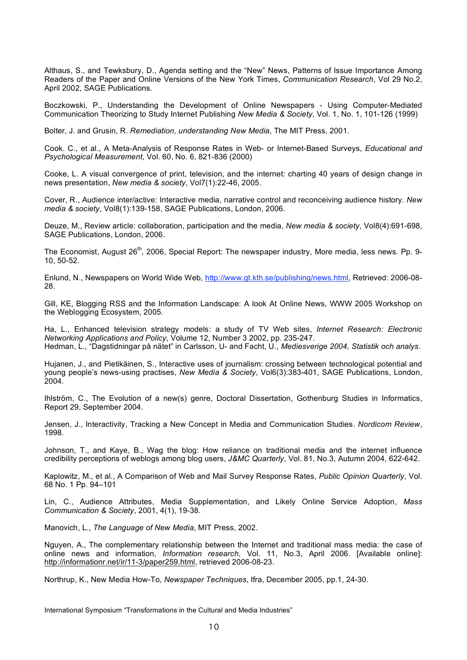Althaus, S., and Tewksbury, D., Agenda setting and the "New" News, Patterns of Issue Importance Among Readers of the Paper and Online Versions of the New York Times, *Communication Research*, Vol 29 No.2, April 2002, SAGE Publications.

Boczkowski, P., Understanding the Development of Online Newspapers - Using Computer-Mediated Communication Theorizing to Study Internet Publishing *New Media & Society*, Vol. 1, No. 1, 101-126 (1999)

Bolter, J. and Grusin, R. *Remediation, understanding New Media*, The MIT Press, 2001.

Cook. C., et al., A Meta-Analysis of Response Rates in Web- or Internet-Based Surveys, *Educational and Psychological Measurement*, Vol. 60, No. 6, 821-836 (2000)

Cooke, L. A visual convergence of print, television, and the internet: charting 40 years of design change in news presentation, *New media & society*, Vol7(1):22-46, 2005.

Cover, R., Audience inter/active: Interactive media, narrative control and reconceiving audience history. *New media & society*, Vol8(1):139-158, SAGE Publications, London, 2006.

Deuze, M., Review article: collaboration, participation and the media, *New media & society*, Vol8(4):691-698, SAGE Publications, London, 2006.

The Economist, August 26<sup>th</sup>, 2006, Special Report: The newspaper industry, More media, less news. Pp. 9-10, 50-52.

Enlund, N., Newspapers on World Wide Web, http://www.gt.kth.se/publishing/news.html, Retrieved: 2006-08- 28.

Gill, KE, Blogging RSS and the Information Landscape: A look At Online News, WWW 2005 Workshop on the Weblogging Ecosystem, 2005.

Ha, L., Enhanced television strategy models: a study of TV Web sites, *Internet Research: Electronic Networking Applications and Policy*, Volume 12, Number 3 2002, pp. 235-247. Hedman, L., "Dagstidningar på nätet" in Carlsson, U- and Facht, U., *Mediesverige 2004, Statistik och analys*.

Hujanen, J., and Pietikäinen, S., Interactive uses of journalism: crossing between technological potential and young people's news-using practises, *New Media & Society*, Vol6(3):383-401, SAGE Publications, London,  $2004.$ 

Ihlström, C., The Evolution of a new(s) genre, Doctoral Dissertation, Gothenburg Studies in Informatics, Report 29, September 2004.

Jensen, J., Interactivity, Tracking a New Concept in Media and Communication Studies. *Nordicom Review*, 1998.

Johnson, T., and Kaye, B., Wag the blog: How reliance on traditional media and the internet influence credibility perceptions of weblogs among blog users, *J&MC Quarterly*, Vol. 81, No.3, Autumn 2004, 622-642.

Kaplowitz, M., et al., A Comparison of Web and Mail Survey Response Rates, *Public Opinion Quarterly*, Vol. 68 No. 1 Pp. 94–101

Lin, C., Audience Attributes, Media Supplementation, and Likely Online Service Adoption, *Mass Communication & Society*, 2001, 4(1), 19-38.

Manovich, L., *The Language of New Media*, MIT Press, 2002.

Nguyen, A., The complementary relationship between the Internet and traditional mass media: the case of online news and information, *Information research*, Vol. 11, No.3, April 2006. [Available online]: http://informationr.net/ir/11-3/paper259.html, retrieved 2006-08-23.

Northrup, K., New Media How-To, *Newspaper Techniques*, Ifra, December 2005, pp.1, 24-30.